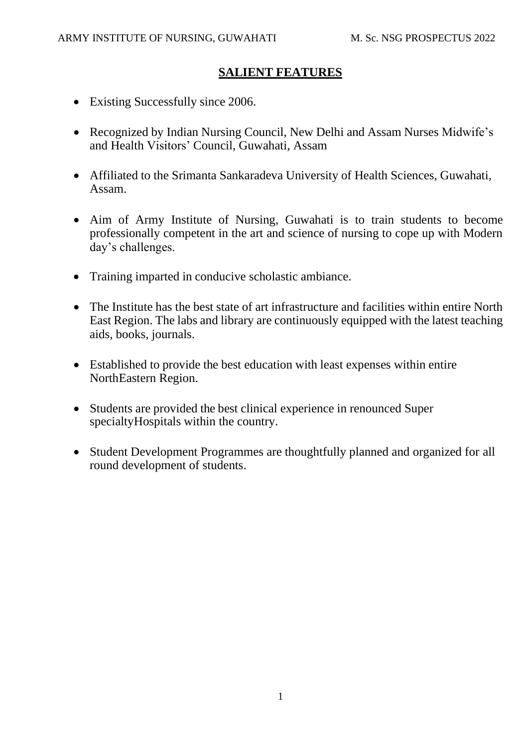# **SALIENT FEATURES**

- Existing Successfully since 2006.
- Recognized by Indian Nursing Council, New Delhi and Assam Nurses Midwife's and Health Visitors' Council, Guwahati, Assam
- Affiliated to the Srimanta Sankaradeva University of Health Sciences, Guwahati, Assam.
- Aim of Army Institute of Nursing, Guwahati is to train students to become professionally competent in the art and science of nursing to cope up with Modern day's challenges.
- Training imparted in conducive scholastic ambiance.
- The Institute has the best state of art infrastructure and facilities within entire North East Region. The labs and library are continuously equipped with the latest teaching aids, books, journals.
- Established to provide the best education with least expenses within entire NorthEastern Region.
- Students are provided the best clinical experience in renounced Super specialtyHospitals within the country.
- Student Development Programmes are thoughtfully planned and organized for all round development of students.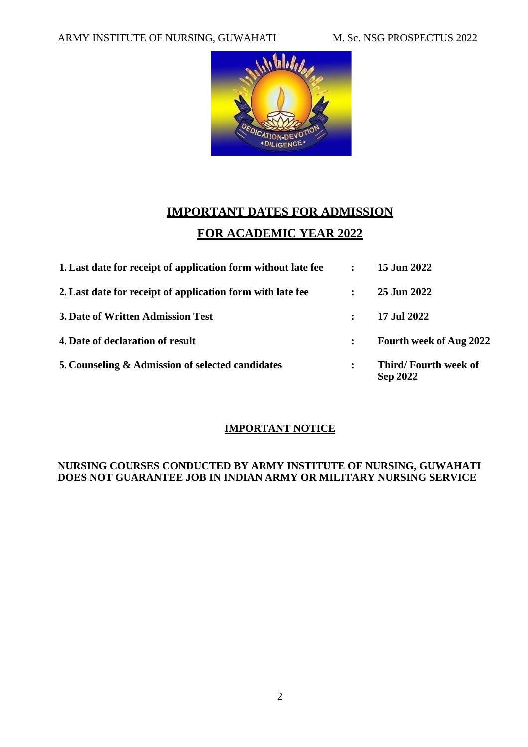

# **IMPORTANT DATES FOR ADMISSION FOR ACADEMIC YEAR 2022**

| 1. Last date for receipt of application form without late fee |                      | 15 Jun 2022                             |
|---------------------------------------------------------------|----------------------|-----------------------------------------|
| 2. Last date for receipt of application form with late fee    | $\ddot{\phantom{a}}$ | 25 Jun 2022                             |
| 3. Date of Written Admission Test                             | $\mathbb{R}^n$       | 17 Jul 2022                             |
| 4. Date of declaration of result                              | $\ddot{\cdot}$       | <b>Fourth week of Aug 2022</b>          |
| 5. Counseling & Admission of selected candidates              |                      | Third/Fourth week of<br><b>Sep 2022</b> |

# **IMPORTANT NOTICE**

#### **NURSING COURSES CONDUCTED BY ARMY INSTITUTE OF NURSING, GUWAHATI DOES NOT GUARANTEE JOB IN INDIAN ARMY OR MILITARY NURSING SERVICE**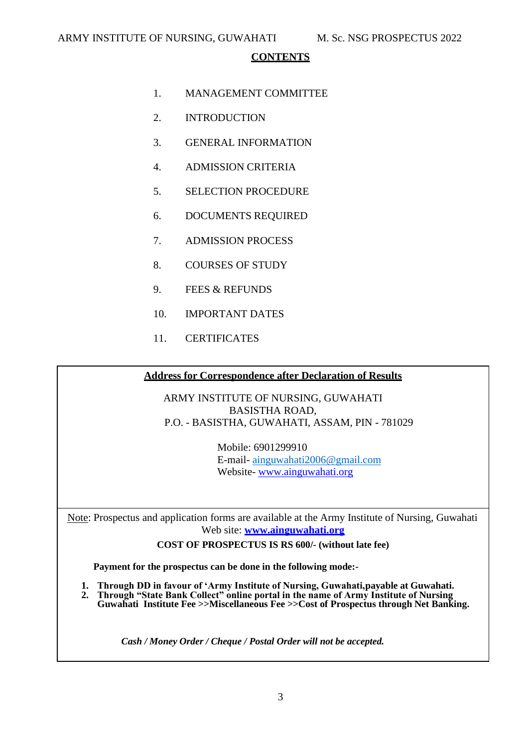#### **CONTENTS**

- 1. MANAGEMENT COMMITTEE
- 2. INTRODUCTION
- 3. GENERAL INFORMATION
- 4. ADMISSION CRITERIA
- 5. SELECTION PROCEDURE
- 6. DOCUMENTS REQUIRED
- 7. ADMISSION PROCESS
- 8. COURSES OF STUDY
- 9. FEES & REFUNDS
- 10. IMPORTANT DATES
- 11. CERTIFICATES

#### **Address for Correspondence after Declaration of Results**

ARMY INSTITUTE OF NURSING, GUWAHATI BASISTHA ROAD, P.O. - BASISTHA, GUWAHATI, ASSAM, PIN - 781029

> Mobile: 6901299910 E-mail- [ainguwahati2006@gmail.com](mailto:ainguwahati2006@gmail.com) Website- [www.ainguwahati.org](http://www.ainguwahati.org/)

Note: Prospectus and application forms are available at the Army Institute of Nursing, Guwahati Web site: **[www.ainguwahati.org](http://www.ainguwahati.org/)**

**COST OF PROSPECTUS IS RS 600/- (without late fee)**

**Payment for the prospectus can be done in the following mode:-**

- **1. Through DD in favour of 'Army Institute of Nursing, Guwahati,payable at Guwahati.**
- 2. **Through "State Bank Collect" online portal in the name of Army Institute of Nursing Guwahati Institute Fee >>Miscellaneous Fee >>Cost of Prospectus through Net Banking.**

*Cash / Money Order / Cheque / Postal Order will not be accepted.*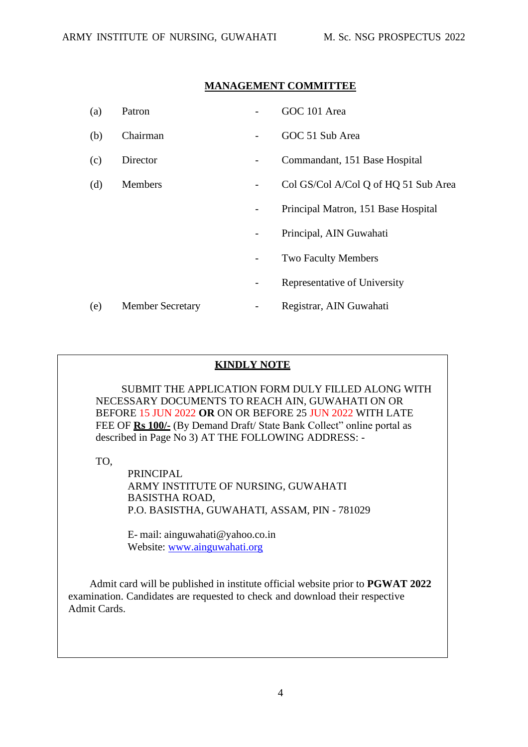#### **MANAGEMENT COMMITTEE**

| (a) | Patron                  |                          | GOC 101 Area                         |
|-----|-------------------------|--------------------------|--------------------------------------|
| (b) | Chairman                |                          | GOC 51 Sub Area                      |
| (c) | Director                |                          | Commandant, 151 Base Hospital        |
| (d) | <b>Members</b>          | -                        | Col GS/Col A/Col Q of HQ 51 Sub Area |
|     |                         | $\overline{\phantom{a}}$ | Principal Matron, 151 Base Hospital  |
|     |                         |                          | Principal, AIN Guwahati              |
|     |                         | -                        | <b>Two Faculty Members</b>           |
|     |                         | $\overline{\phantom{a}}$ | Representative of University         |
| (e) | <b>Member Secretary</b> |                          | Registrar, AIN Guwahati              |

## **KINDLY NOTE**

SUBMIT THE APPLICATION FORM DULY FILLED ALONG WITH NECESSARY DOCUMENTS TO REACH AIN, GUWAHATI ON OR BEFORE 15 JUN 2022 **OR** ON OR BEFORE 25 JUN 2022 WITH LATE FEE OF **Rs 100/-** (By Demand Draft/ State Bank Collect" online portal as described in Page No 3) AT THE FOLLOWING ADDRESS: -

TO,

PRINCIPAL ARMY INSTITUTE OF NURSING, GUWAHATI BASISTHA ROAD, P.O. BASISTHA, GUWAHATI, ASSAM, PIN - 781029

E- mail: [ainguwahati@yahoo.co.in](mailto:ainguwahati@yahoo.co.in) Website: [www.ainguwahati.org](http://www.ainguwahati.org/)

Admit card will be published in institute official website prior to **PGWAT 2022** examination. Candidates are requested to check and download their respective Admit Cards.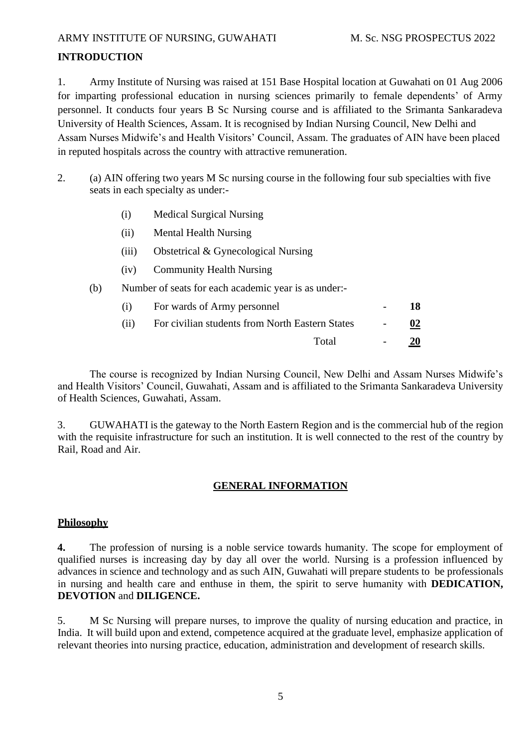#### ARMY INSTITUTE OF NURSING, GUWAHATI M. Sc. NSG PROSPECTUS 2022

#### **INTRODUCTION**

1. Army Institute of Nursing was raised at 151 Base Hospital location at Guwahati on 01 Aug 2006 for imparting professional education in nursing sciences primarily to female dependents' of Army personnel. It conducts four years B Sc Nursing course and is affiliated to the Srimanta Sankaradeva University of Health Sciences, Assam. It is recognised by Indian Nursing Council, New Delhi and Assam Nurses Midwife's and Health Visitors' Council, Assam. The graduates of AIN have been placed in reputed hospitals across the country with attractive remuneration.

- 2. (a) AIN offering two years M Sc nursing course in the following four sub specialties with five seats in each specialty as under:-
	- (i) Medical Surgical Nursing
	- (ii) Mental Health Nursing
	- (iii) Obstetrical & Gynecological Nursing
	- (iv) Community Health Nursing
	- (b) Number of seats for each academic year is as under:-

| (i)  | For wards of Army personnel                     | 18        |
|------|-------------------------------------------------|-----------|
| (ii) | For civilian students from North Eastern States | 02        |
|      | Total                                           | <b>20</b> |

The course is recognized by Indian Nursing Council, New Delhi and Assam Nurses Midwife's and Health Visitors' Council, Guwahati, Assam and is affiliated to the Srimanta Sankaradeva University of Health Sciences, Guwahati, Assam.

3. GUWAHATI is the gateway to the North Eastern Region and is the commercial hub of the region with the requisite infrastructure for such an institution. It is well connected to the rest of the country by Rail, Road and Air.

#### **GENERAL INFORMATION**

#### **Philosophy**

**4.** The profession of nursing is a noble service towards humanity. The scope for employment of qualified nurses is increasing day by day all over the world. Nursing is a profession influenced by advances in science and technology and as such AIN, Guwahati will prepare students to be professionals in nursing and health care and enthuse in them, the spirit to serve humanity with **DEDICATION, DEVOTION** and **DILIGENCE.**

5. M Sc Nursing will prepare nurses, to improve the quality of nursing education and practice, in India. It will build upon and extend, competence acquired at the graduate level, emphasize application of relevant theories into nursing practice, education, administration and development of research skills.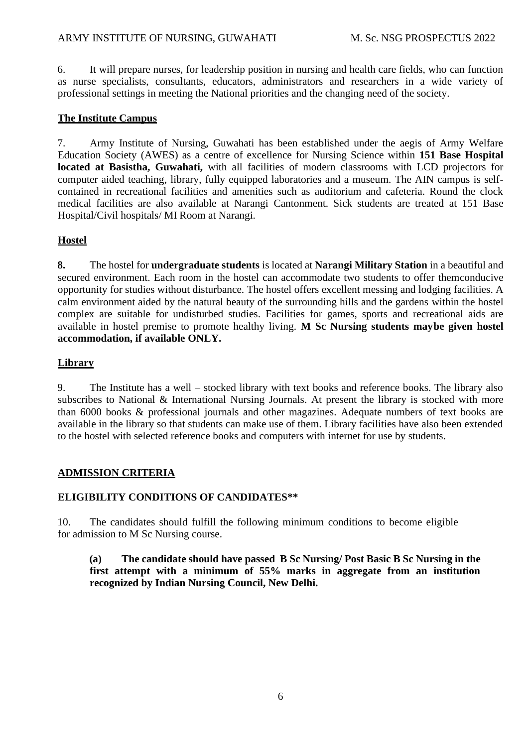6. It will prepare nurses, for leadership position in nursing and health care fields, who can function as nurse specialists, consultants, educators, administrators and researchers in a wide variety of professional settings in meeting the National priorities and the changing need of the society.

#### **The Institute Campus**

7. Army Institute of Nursing, Guwahati has been established under the aegis of Army Welfare Education Society (AWES) as a centre of excellence for Nursing Science within **151 Base Hospital located at Basistha, Guwahati,** with all facilities of modern classrooms with LCD projectors for computer aided teaching, library, fully equipped laboratories and a museum. The AIN campus is selfcontained in recreational facilities and amenities such as auditorium and cafeteria. Round the clock medical facilities are also available at Narangi Cantonment. Sick students are treated at 151 Base Hospital/Civil hospitals/ MI Room at Narangi.

#### **Hostel**

**8.** The hostel for **undergraduate students** is located at **Narangi Military Station** in a beautiful and secured environment. Each room in the hostel can accommodate two students to offer themconducive opportunity for studies without disturbance. The hostel offers excellent messing and lodging facilities. A calm environment aided by the natural beauty of the surrounding hills and the gardens within the hostel complex are suitable for undisturbed studies. Facilities for games, sports and recreational aids are available in hostel premise to promote healthy living. **M Sc Nursing students maybe given hostel accommodation, if available ONLY.**

## **Library**

9. The Institute has a well – stocked library with text books and reference books. The library also subscribes to National & International Nursing Journals. At present the library is stocked with more than 6000 books & professional journals and other magazines. Adequate numbers of text books are available in the library so that students can make use of them. Library facilities have also been extended to the hostel with selected reference books and computers with internet for use by students.

#### **ADMISSION CRITERIA**

#### **ELIGIBILITY CONDITIONS OF CANDIDATES\*\***

10. The candidates should fulfill the following minimum conditions to become eligible for admission to M Sc Nursing course.

**(a) The candidate should have passed B Sc Nursing/ Post Basic B Sc Nursing in the first attempt with a minimum of 55% marks in aggregate from an institution recognized by Indian Nursing Council, New Delhi.**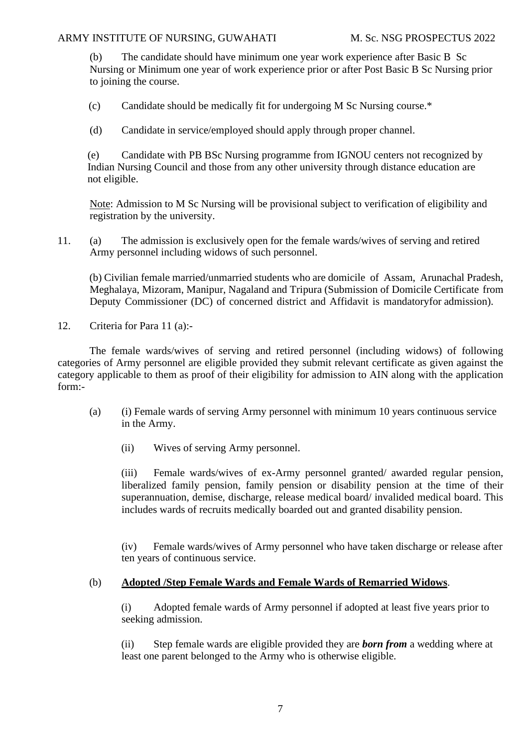(b) The candidate should have minimum one year work experience after Basic B Sc Nursing or Minimum one year of work experience prior or after Post Basic B Sc Nursing prior to joining the course.

(c) Candidate should be medically fit for undergoing M Sc Nursing course.\*

(d) Candidate in service/employed should apply through proper channel.

(e) Candidate with PB BSc Nursing programme from IGNOU centers not recognized by Indian Nursing Council and those from any other university through distance education are not eligible.

Note: Admission to M Sc Nursing will be provisional subject to verification of eligibility and registration by the university.

11. (a) The admission is exclusively open for the female wards/wives of serving and retired Army personnel including widows of such personnel.

(b) Civilian female married/unmarried students who are domicile of Assam, Arunachal Pradesh, Meghalaya, Mizoram, Manipur, Nagaland and Tripura (Submission of Domicile Certificate from Deputy Commissioner (DC) of concerned district and Affidavit is mandatoryfor admission).

12. Criteria for Para 11 (a):-

The female wards/wives of serving and retired personnel (including widows) of following categories of Army personnel are eligible provided they submit relevant certificate as given against the category applicable to them as proof of their eligibility for admission to AIN along with the application form:-

- (a) (i) Female wards of serving Army personnel with minimum 10 years continuous service in the Army.
	- (ii) Wives of serving Army personnel.

(iii) Female wards/wives of ex-Army personnel granted/ awarded regular pension, liberalized family pension, family pension or disability pension at the time of their superannuation, demise, discharge, release medical board/ invalided medical board. This includes wards of recruits medically boarded out and granted disability pension.

(iv) Female wards/wives of Army personnel who have taken discharge or release after ten years of continuous service.

### (b) **Adopted /Step Female Wards and Female Wards of Remarried Widows**.

(i) Adopted female wards of Army personnel if adopted at least five years prior to seeking admission.

(ii) Step female wards are eligible provided they are *born from* a wedding where at least one parent belonged to the Army who is otherwise eligible.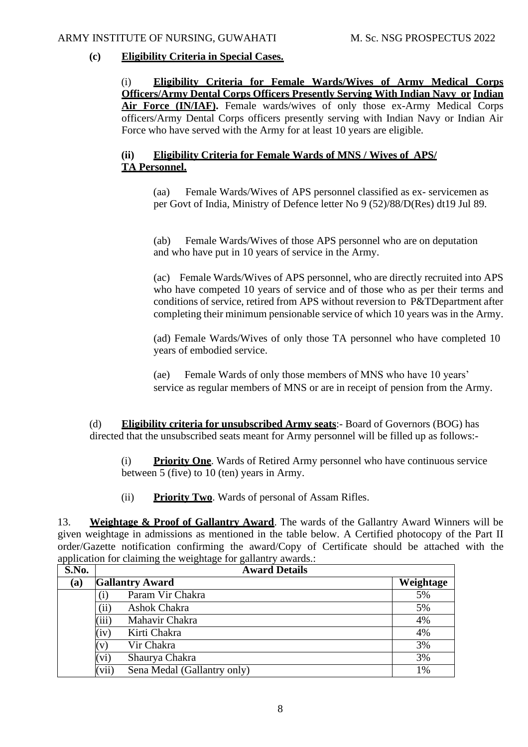#### **(c) Eligibility Criteria in Special Cases.**

(i) **Eligibility Criteria for Female Wards/Wives of Army Medical Corps Officers/Army Dental Corps Officers Presently Serving With Indian Navy or Indian Air Force (IN/IAF).** Female wards/wives of only those ex-Army Medical Corps officers/Army Dental Corps officers presently serving with Indian Navy or Indian Air Force who have served with the Army for at least 10 years are eligible.

### **(ii) Eligibility Criteria for Female Wards of MNS / Wives of APS/ TA Personnel.**

(aa) Female Wards/Wives of APS personnel classified as ex- servicemen as per Govt of India, Ministry of Defence letter No 9 (52)/88/D(Res) dt19 Jul 89.

(ab) Female Wards/Wives of those APS personnel who are on deputation and who have put in 10 years of service in the Army.

(ac) Female Wards/Wives of APS personnel, who are directly recruited into APS who have competed 10 years of service and of those who as per their terms and conditions of service, retired from APS without reversion to P&TDepartment after completing their minimum pensionable service of which 10 years was in the Army.

(ad) Female Wards/Wives of only those TA personnel who have completed 10 years of embodied service.

(ae) Female Wards of only those members of MNS who have 10 years' service as regular members of MNS or are in receipt of pension from the Army.

(d) **Eligibility criteria for unsubscribed Army seats**:- Board of Governors (BOG) has directed that the unsubscribed seats meant for Army personnel will be filled up as follows:-

(i) **Priority One**. Wards of Retired Army personnel who have continuous service between 5 (five) to 10 (ten) years in Army.

(ii) **Priority Two**. Wards of personal of Assam Rifles.

13. **Weightage & Proof of Gallantry Award**. The wards of the Gallantry Award Winners will be given weightage in admissions as mentioned in the table below. A Certified photocopy of the Part II order/Gazette notification confirming the award/Copy of Certificate should be attached with the application for claiming the weightage for gallantry awards.:

| S.No. | <b>Award Details</b>                 |           |
|-------|--------------------------------------|-----------|
| (a)   | <b>Gallantry Award</b>               | Weightage |
|       | Param Vir Chakra<br>$\rm(i)$         | 5%        |
|       | (iii)<br>Ashok Chakra                | 5%        |
|       | (iii)<br>Mahavir Chakra              | 4%        |
|       | (iv)<br>Kirti Chakra                 | 4%        |
|       | Vir Chakra<br>(v)                    | 3%        |
|       | (vi)<br>Shaurya Chakra               | 3%        |
|       | (vii)<br>Sena Medal (Gallantry only) | 1%        |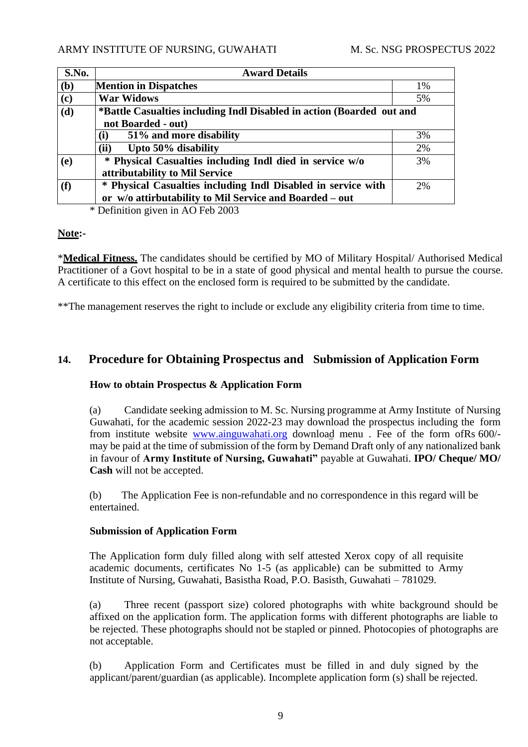| S.No. | <b>Award Details</b>                                                                                                     |    |
|-------|--------------------------------------------------------------------------------------------------------------------------|----|
| (b)   | <b>Mention in Dispatches</b>                                                                                             | 1% |
| (c)   | <b>War Widows</b>                                                                                                        | 5% |
| (d)   | *Battle Casualties including Indl Disabled in action (Boarded out and<br>not Boarded - out)                              |    |
|       | 51% and more disability<br>(i)                                                                                           | 3% |
|       | Upto 50% disability<br>(ii)                                                                                              | 2% |
| (e)   | * Physical Casualties including Indl died in service w/o<br>attributability to Mil Service                               | 3% |
| (f)   | * Physical Casualties including Indl Disabled in service with<br>or w/o attirbutability to Mil Service and Boarded – out | 2% |

\* Definition given in AO Feb 2003

#### **Note:-**

\***Medical Fitness.** The candidates should be certified by MO of Military Hospital/ Authorised Medical Practitioner of a Govt hospital to be in a state of good physical and mental health to pursue the course. A certificate to this effect on the enclosed form is required to be submitted by the candidate.

\*\*The management reserves the right to include or exclude any eligibility criteria from time to time.

# **14. Procedure for Obtaining Prospectus and Submission of Application Form**

#### **How to obtain Prospectus & Application Form**

(a) Candidate seeking admission to M. Sc. Nursing programme at Army Institute of Nursing Guwahati, for the academic session 2022-23 may download the prospectus including the form from institute website [www.ainguwahati.org](http://www.ainguwahati.org/) download menu . Fee of the form ofRs 600/ may be paid at the time of submission of the form by Demand Draft only of any nationalized bank in favour of **Army Institute of Nursing, Guwahati"** payable at Guwahati. **IPO/ Cheque/ MO/ Cash** will not be accepted.

(b) The Application Fee is non-refundable and no correspondence in this regard will be entertained.

#### **Submission of Application Form**

The Application form duly filled along with self attested Xerox copy of all requisite academic documents, certificates No 1-5 (as applicable) can be submitted to Army Institute of Nursing, Guwahati, Basistha Road, P.O. Basisth, Guwahati – 781029.

(a) Three recent (passport size) colored photographs with white background should be affixed on the application form. The application forms with different photographs are liable to be rejected. These photographs should not be stapled or pinned. Photocopies of photographs are not acceptable.

(b) Application Form and Certificates must be filled in and duly signed by the applicant/parent/guardian (as applicable). Incomplete application form (s) shall be rejected.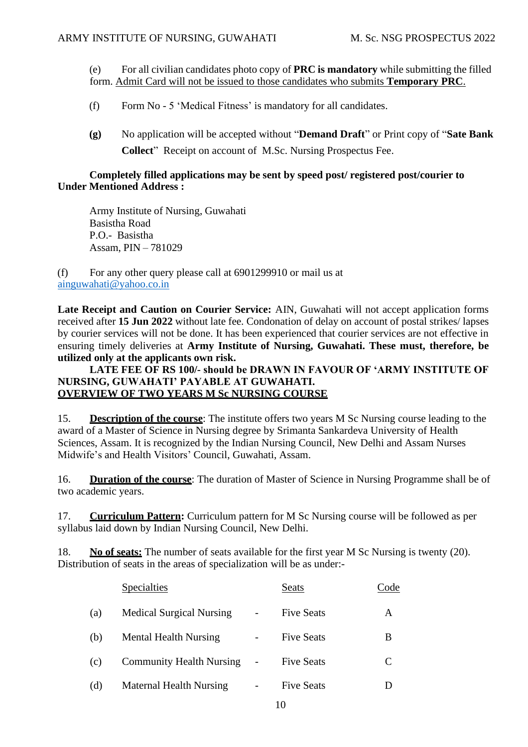(e) For all civilian candidates photo copy of **PRC is mandatory** while submitting the filled form. Admit Card will not be issued to those candidates who submits **Temporary PRC**.

- (f) Form No 5 'Medical Fitness' is mandatory for all candidates.
- **(g)** No application will be accepted without "**Demand Draft**" or Print copy of "**Sate Bank Collect**" Receipt on account of M.Sc. Nursing Prospectus Fee.

#### **Completely filled applications may be sent by speed post/ registered post/courier to Under Mentioned Address :**

Army Institute of Nursing, Guwahati Basistha Road P.O.- Basistha Assam, PIN – 781029

(f) For any other query please call at 6901299910 or mail us at [ainguwahati@yahoo.co.in](mailto:ainguwahati@yahoo.co.in)

Late Receipt and Caution on Courier Service: AIN, Guwahati will not accept application forms received after **15 Jun 2022** without late fee. Condonation of delay on account of postal strikes/ lapses by courier services will not be done. It has been experienced that courier services are not effective in ensuring timely deliveries at **Army Institute of Nursing, Guwahati. These must, therefore, be utilized only at the applicants own risk.**

#### **LATE FEE OF RS 100/- should be DRAWN IN FAVOUR OF 'ARMY INSTITUTE OF NURSING, GUWAHATI' PAYABLE AT GUWAHATI. OVERVIEW OF TWO YEARS M Sc NURSING COURSE**

15. **Description of the course**: The institute offers two years M Sc Nursing course leading to the award of a Master of Science in Nursing degree by Srimanta Sankardeva University of Health Sciences, Assam. It is recognized by the Indian Nursing Council, New Delhi and Assam Nurses Midwife's and Health Visitors' Council, Guwahati, Assam.

16. **Duration of the course**: The duration of Master of Science in Nursing Programme shall be of two academic years.

17. **Curriculum Pattern:** Curriculum pattern for M Sc Nursing course will be followed as per syllabus laid down by Indian Nursing Council, New Delhi.

18. **No of seats:** The number of seats available for the first year M Sc Nursing is twenty (20). Distribution of seats in the areas of specialization will be as under:-

|     | Specialties                     | <b>Seats</b>      | Code |
|-----|---------------------------------|-------------------|------|
| (a) | <b>Medical Surgical Nursing</b> | <b>Five Seats</b> | A    |
| (b) | <b>Mental Health Nursing</b>    | <b>Five Seats</b> | B    |
| (c) | <b>Community Health Nursing</b> | <b>Five Seats</b> | C    |
| (d) | <b>Maternal Health Nursing</b>  | <b>Five Seats</b> |      |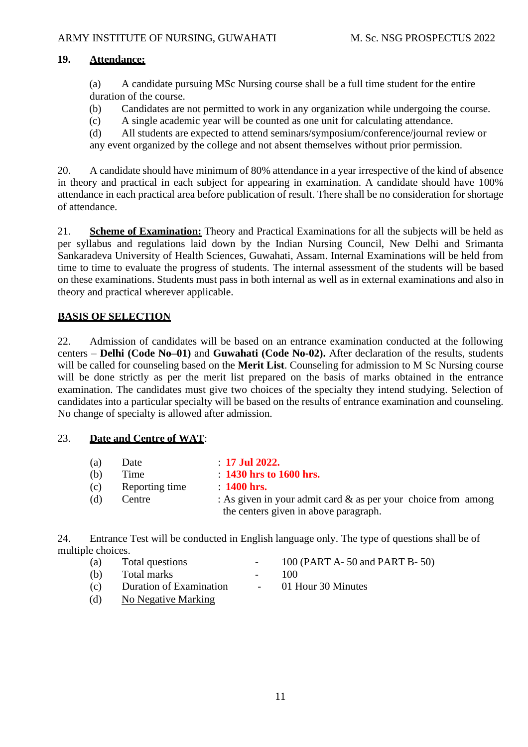### **19. Attendance:**

(a) A candidate pursuing MSc Nursing course shall be a full time student for the entire duration of the course.

- (b) Candidates are not permitted to work in any organization while undergoing the course.
- (c) A single academic year will be counted as one unit for calculating attendance.

(d) All students are expected to attend seminars/symposium/conference/journal review or any event organized by the college and not absent themselves without prior permission.

20. A candidate should have minimum of 80% attendance in a year irrespective of the kind of absence in theory and practical in each subject for appearing in examination. A candidate should have 100% attendance in each practical area before publication of result. There shall be no consideration for shortage of attendance.

21. **Scheme of Examination:** Theory and Practical Examinations for all the subjects will be held as per syllabus and regulations laid down by the Indian Nursing Council, New Delhi and Srimanta Sankaradeva University of Health Sciences, Guwahati, Assam. Internal Examinations will be held from time to time to evaluate the progress of students. The internal assessment of the students will be based on these examinations. Students must pass in both internal as well as in external examinations and also in theory and practical wherever applicable.

## **BASIS OF SELECTION**

22. Admission of candidates will be based on an entrance examination conducted at the following centers – **Delhi (Code No–01)** and **Guwahati (Code No-02).** After declaration of the results, students will be called for counseling based on the **Merit List**. Counseling for admission to M Sc Nursing course will be done strictly as per the merit list prepared on the basis of marks obtained in the entrance examination. The candidates must give two choices of the specialty they intend studying. Selection of candidates into a particular specialty will be based on the results of entrance examination and counseling. No change of specialty is allowed after admission.

#### 23. **Date and Centre of WAT**:

| (a) | Date           | $\therefore$ 17 Jul 2022.                                                                                 |
|-----|----------------|-----------------------------------------------------------------------------------------------------------|
| (b) | Time           | $\therefore$ 1430 hrs to 1600 hrs.                                                                        |
| (c) | Reporting time | $\therefore$ 1400 hrs.                                                                                    |
| (d) | Centre         | : As given in your admit card $\&$ as per your choice from among<br>the centers given in above paragraph. |

24. Entrance Test will be conducted in English language only. The type of questions shall be of multiple choices.

| (a) | Total questions | $\overline{\phantom{0}}$ | 100 (PART A-50 and PART B-50) |
|-----|-----------------|--------------------------|-------------------------------|
| (b) | Total marks     | $\sim$                   | 100                           |

- (c) Duration of Examination 01 Hour 30 Minutes
- (d) No Negative Marking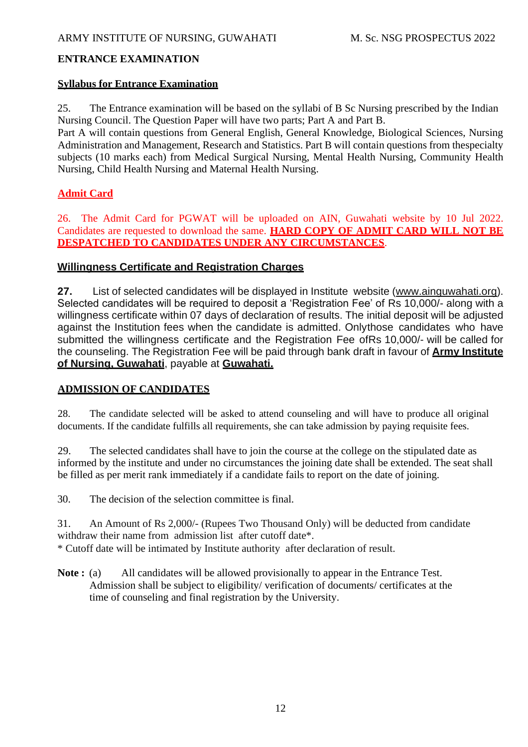#### **ENTRANCE EXAMINATION**

#### **Syllabus for Entrance Examination**

25. The Entrance examination will be based on the syllabi of B Sc Nursing prescribed by the Indian Nursing Council. The Question Paper will have two parts; Part A and Part B.

Part A will contain questions from General English, General Knowledge, Biological Sciences, Nursing Administration and Management, Research and Statistics. Part B will contain questions from thespecialty subjects (10 marks each) from Medical Surgical Nursing, Mental Health Nursing, Community Health Nursing, Child Health Nursing and Maternal Health Nursing.

#### **Admit Card**

26. The Admit Card for PGWAT will be uploaded on AIN, Guwahati website by 10 Jul 2022. Candidates are requested to download the same. **HARD COPY OF ADMIT CARD WILL NOT BE DESPATCHED TO CANDIDATES UNDER ANY CIRCUMSTANCES**.

#### **Willingness Certificate and Registration Charges**

**27.** List of selected candidates will be displayed in Institute website [\(www.ainguwahati.org\)](http://www.ainguwahati.org/). Selected candidates will be required to deposit a 'Registration Fee' of Rs 10,000/- along with a willingness certificate within 07 days of declaration of results. The initial deposit will be adjusted against the Institution fees when the candidate is admitted. Onlythose candidates who have submitted the willingness certificate and the Registration Fee ofRs 10,000/- will be called for the counseling. The Registration Fee will be paid through bank draft in favour of **Army Institute of Nursing, Guwahati**, payable at **Guwahati.**

#### **ADMISSION OF CANDIDATES**

28. The candidate selected will be asked to attend counseling and will have to produce all original documents. If the candidate fulfills all requirements, she can take admission by paying requisite fees.

29. The selected candidates shall have to join the course at the college on the stipulated date as informed by the institute and under no circumstances the joining date shall be extended. The seat shall be filled as per merit rank immediately if a candidate fails to report on the date of joining.

30. The decision of the selection committee is final.

31. An Amount of Rs 2,000/- (Rupees Two Thousand Only) will be deducted from candidate withdraw their name from admission list after cutoff date\*. \* Cutoff date will be intimated by Institute authority after declaration of result.

**Note :** (a) All candidates will be allowed provisionally to appear in the Entrance Test. Admission shall be subject to eligibility/ verification of documents/ certificates at the time of counseling and final registration by the University.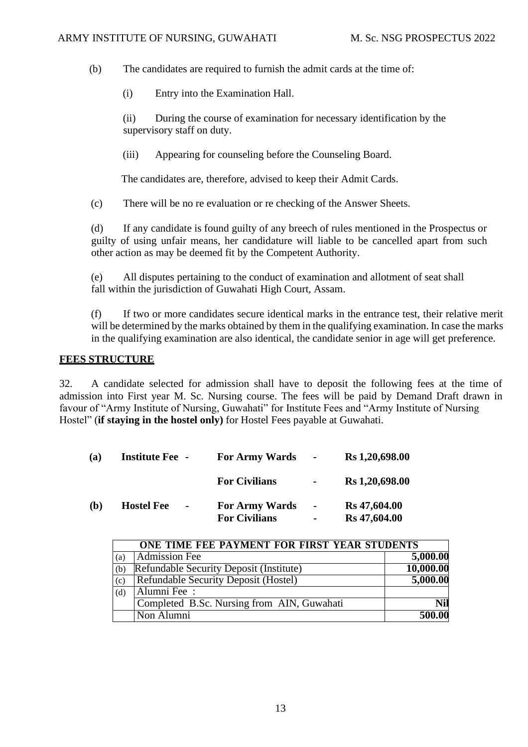(b) The candidates are required to furnish the admit cards at the time of:

(i) Entry into the Examination Hall.

(ii) During the course of examination for necessary identification by the supervisory staff on duty.

(iii) Appearing for counseling before the Counseling Board.

The candidates are, therefore, advised to keep their Admit Cards.

(c) There will be no re evaluation or re checking of the Answer Sheets.

(d) If any candidate is found guilty of any breech of rules mentioned in the Prospectus or guilty of using unfair means, her candidature will liable to be cancelled apart from such other action as may be deemed fit by the Competent Authority.

(e) All disputes pertaining to the conduct of examination and allotment of seat shall fall within the jurisdiction of Guwahati High Court, Assam.

(f) If two or more candidates secure identical marks in the entrance test, their relative merit will be determined by the marks obtained by them in the qualifying examination. In case the marks in the qualifying examination are also identical, the candidate senior in age will get preference.

#### **FEES STRUCTURE**

32. A candidate selected for admission shall have to deposit the following fees at the time of admission into First year M. Sc. Nursing course. The fees will be paid by Demand Draft drawn in favour of "Army Institute of Nursing, Guwahati" for Institute Fees and "Army Institute of Nursing Hostel" (**if staying in the hostel only)** for Hostel Fees payable at Guwahati.

| (a) | <b>Institute Fee -</b>              | <b>For Army Wards</b>                         | $\sim$                   | Rs 1,20,698.00               |
|-----|-------------------------------------|-----------------------------------------------|--------------------------|------------------------------|
|     |                                     | <b>For Civilians</b>                          | $\blacksquare$           | Rs 1,20,698.00               |
| (b) | <b>Hostel Fee</b><br>$\blacksquare$ | <b>For Army Wards</b><br><b>For Civilians</b> | $\sim$<br>$\blacksquare$ | Rs 47,604.00<br>Rs 47,604.00 |

|     | ONE TIME FEE PAYMENT FOR FIRST YEAR STUDENTS |            |
|-----|----------------------------------------------|------------|
| (a) | <b>Admission Fee</b>                         | 5,000.00   |
| (b) | Refundable Security Deposit (Institute)      | 10,000.00  |
| (c) | Refundable Security Deposit (Hostel)         | 5,000.00   |
| (d) | Alumni Fee:                                  |            |
|     | Completed B.Sc. Nursing from AIN, Guwahati   | <b>Nil</b> |
|     | Non Alumni                                   | 500.00     |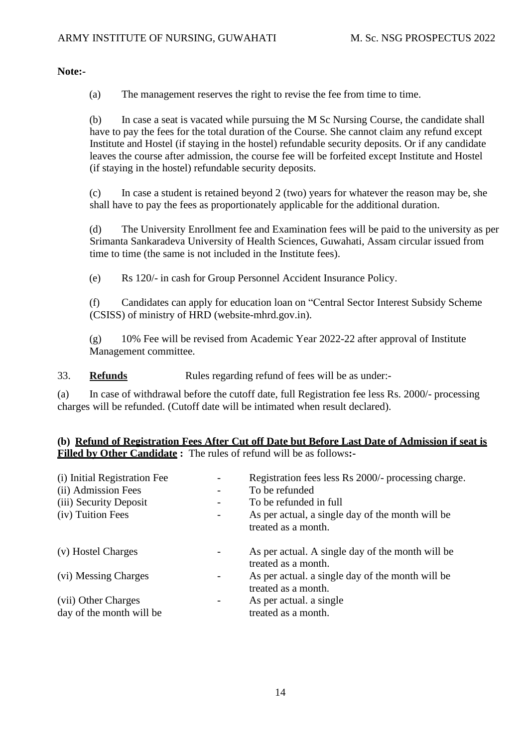**Note:-**

(a) The management reserves the right to revise the fee from time to time.

(b) In case a seat is vacated while pursuing the M Sc Nursing Course, the candidate shall have to pay the fees for the total duration of the Course. She cannot claim any refund except Institute and Hostel (if staying in the hostel) refundable security deposits. Or if any candidate leaves the course after admission, the course fee will be forfeited except Institute and Hostel (if staying in the hostel) refundable security deposits.

(c) In case a student is retained beyond 2 (two) years for whatever the reason may be, she shall have to pay the fees as proportionately applicable for the additional duration.

(d) The University Enrollment fee and Examination fees will be paid to the university as per Srimanta Sankaradeva University of Health Sciences, Guwahati, Assam circular issued from time to time (the same is not included in the Institute fees).

(e) Rs 120/- in cash for Group Personnel Accident Insurance Policy.

(f) Candidates can apply for education loan on "Central Sector Interest Subsidy Scheme (CSISS) of ministry of HRD (website-mhrd.gov.in).

(g) 10% Fee will be revised from Academic Year 2022-22 after approval of Institute Management committee.

33. **Refunds** Rules regarding refund of fees will be as under-

(a) In case of withdrawal before the cutoff date, full Registration fee less Rs. 2000/- processing charges will be refunded. (Cutoff date will be intimated when result declared).

#### **(b) Refund of Registration Fees After Cut off Date but Before Last Date of Admission if seat is Filled by Other Candidate :** The rules of refund will be as follows**:-**

| (i) Initial Registration Fee<br>(ii) Admission Fees<br>(iii) Security Deposit<br>(iv) Tuition Fees | Registration fees less Rs 2000/- processing charge.<br>To be refunded<br>To be refunded in full<br>As per actual, a single day of the month will be<br>treated as a month. |
|----------------------------------------------------------------------------------------------------|----------------------------------------------------------------------------------------------------------------------------------------------------------------------------|
| (v) Hostel Charges                                                                                 | As per actual. A single day of the month will be<br>treated as a month.                                                                                                    |
| (vi) Messing Charges                                                                               | As per actual, a single day of the month will be<br>treated as a month.                                                                                                    |
| (vii) Other Charges<br>day of the month will be                                                    | As per actual. a single<br>treated as a month.                                                                                                                             |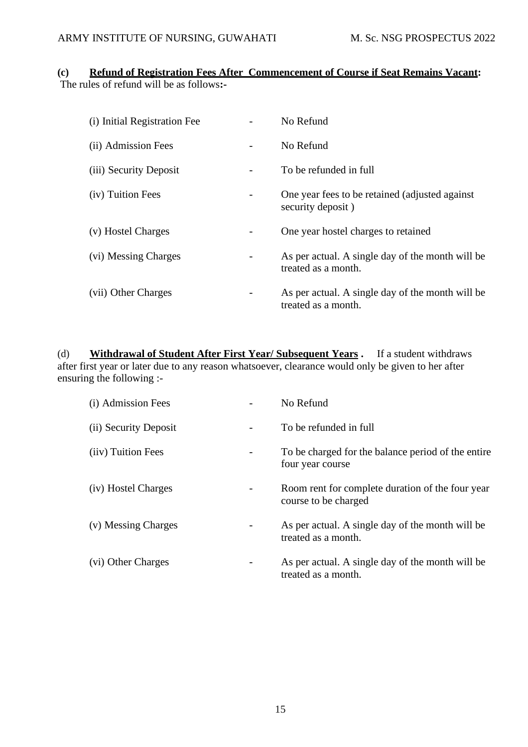#### **(c) Refund of Registration Fees After Commencement of Course if Seat Remains Vacant:** The rules of refund will be as follows**:-**

| (i) Initial Registration Fee | No Refund                                                               |
|------------------------------|-------------------------------------------------------------------------|
| (ii) Admission Fees          | No Refund                                                               |
| (iii) Security Deposit       | To be refunded in full                                                  |
| (iv) Tuition Fees            | One year fees to be retained (adjusted against)<br>security deposit)    |
| (v) Hostel Charges           | One year hostel charges to retained                                     |
| (vi) Messing Charges         | As per actual. A single day of the month will be<br>treated as a month. |
| (vii) Other Charges          | As per actual. A single day of the month will be<br>treated as a month. |

(d) **Withdrawal of Student After First Year/ Subsequent Years .** If a student withdraws after first year or later due to any reason whatsoever, clearance would only be given to her after ensuring the following :-

| (i) Admission Fees    | No Refund                                                                |
|-----------------------|--------------------------------------------------------------------------|
| (ii) Security Deposit | To be refunded in full                                                   |
| (iiv) Tuition Fees    | To be charged for the balance period of the entire<br>four year course   |
| (iv) Hostel Charges   | Room rent for complete duration of the four year<br>course to be charged |
| (v) Messing Charges   | As per actual. A single day of the month will be<br>treated as a month.  |
| (vi) Other Charges    | As per actual. A single day of the month will be<br>treated as a month.  |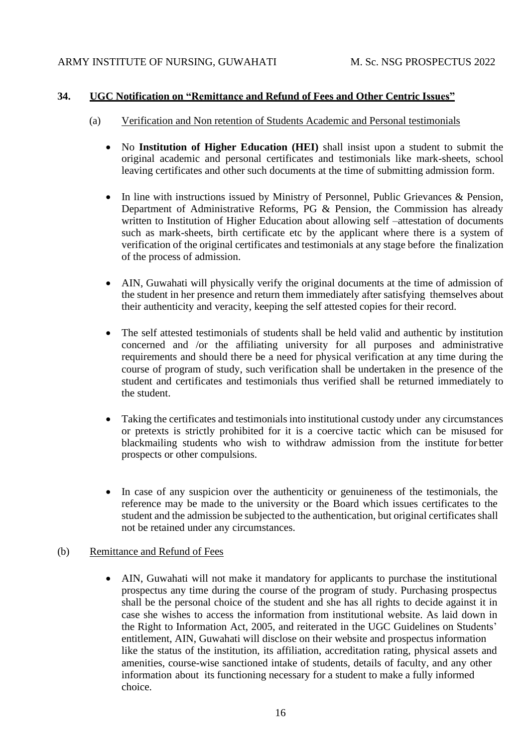#### **34. UGC Notification on "Remittance and Refund of Fees and Other Centric Issues"**

- (a) Verification and Non retention of Students Academic and Personal testimonials
	- No **Institution of Higher Education (HEI)** shall insist upon a student to submit the original academic and personal certificates and testimonials like mark-sheets, school leaving certificates and other such documents at the time of submitting admission form.
	- In line with instructions issued by Ministry of Personnel, Public Grievances & Pension, Department of Administrative Reforms, PG & Pension, the Commission has already written to Institution of Higher Education about allowing self –attestation of documents such as mark-sheets, birth certificate etc by the applicant where there is a system of verification of the original certificates and testimonials at any stage before the finalization of the process of admission.
	- AIN, Guwahati will physically verify the original documents at the time of admission of the student in her presence and return them immediately after satisfying themselves about their authenticity and veracity, keeping the self attested copies for their record.
	- The self attested testimonials of students shall be held valid and authentic by institution concerned and /or the affiliating university for all purposes and administrative requirements and should there be a need for physical verification at any time during the course of program of study, such verification shall be undertaken in the presence of the student and certificates and testimonials thus verified shall be returned immediately to the student.
	- Taking the certificates and testimonials into institutional custody under any circumstances or pretexts is strictly prohibited for it is a coercive tactic which can be misused for blackmailing students who wish to withdraw admission from the institute for better prospects or other compulsions.
	- In case of any suspicion over the authenticity or genuineness of the testimonials, the reference may be made to the university or the Board which issues certificates to the student and the admission be subjected to the authentication, but original certificates shall not be retained under any circumstances.

#### (b) Remittance and Refund of Fees

• AIN, Guwahati will not make it mandatory for applicants to purchase the institutional prospectus any time during the course of the program of study. Purchasing prospectus shall be the personal choice of the student and she has all rights to decide against it in case she wishes to access the information from institutional website. As laid down in the Right to Information Act, 2005, and reiterated in the UGC Guidelines on Students' entitlement, AIN, Guwahati will disclose on their website and prospectus information like the status of the institution, its affiliation, accreditation rating, physical assets and amenities, course-wise sanctioned intake of students, details of faculty, and any other information about its functioning necessary for a student to make a fully informed choice.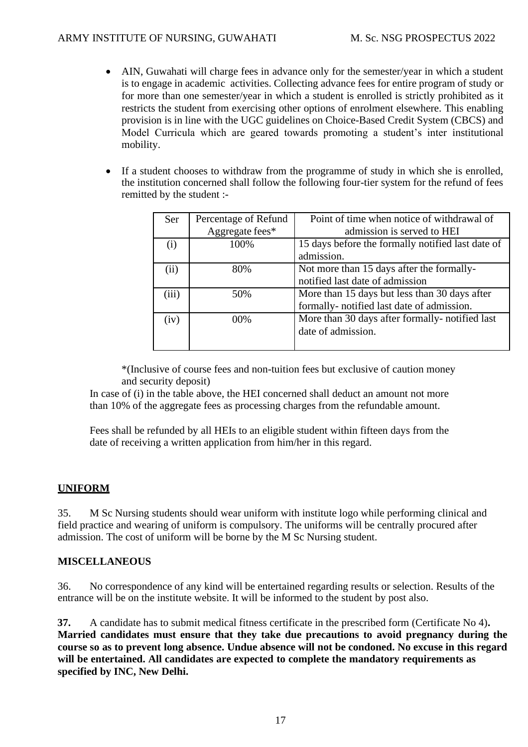- AIN, Guwahati will charge fees in advance only for the semester/year in which a student is to engage in academic activities. Collecting advance fees for entire program of study or for more than one semester/year in which a student is enrolled is strictly prohibited as it restricts the student from exercising other options of enrolment elsewhere. This enabling provision is in line with the UGC guidelines on Choice-Based Credit System (CBCS) and Model Curricula which are geared towards promoting a student's inter institutional mobility.
- If a student chooses to withdraw from the programme of study in which she is enrolled, the institution concerned shall follow the following four-tier system for the refund of fees remitted by the student :-

| Ser   | Percentage of Refund | Point of time when notice of withdrawal of        |
|-------|----------------------|---------------------------------------------------|
|       | Aggregate fees*      | admission is served to HEI                        |
| (i)   | 100%                 | 15 days before the formally notified last date of |
|       |                      | admission.                                        |
| (ii)  | 80%                  | Not more than 15 days after the formally-         |
|       |                      | notified last date of admission                   |
| (iii) | 50%                  | More than 15 days but less than 30 days after     |
|       |                      | formally- notified last date of admission.        |
| (iv)  | $00\%$               | More than 30 days after formally-notified last    |
|       |                      | date of admission.                                |
|       |                      |                                                   |

\*(Inclusive of course fees and non-tuition fees but exclusive of caution money and security deposit)

In case of (i) in the table above, the HEI concerned shall deduct an amount not more than 10% of the aggregate fees as processing charges from the refundable amount.

Fees shall be refunded by all HEIs to an eligible student within fifteen days from the date of receiving a written application from him/her in this regard.

#### **UNIFORM**

35. M Sc Nursing students should wear uniform with institute logo while performing clinical and field practice and wearing of uniform is compulsory. The uniforms will be centrally procured after admission. The cost of uniform will be borne by the M Sc Nursing student.

#### **MISCELLANEOUS**

36. No correspondence of any kind will be entertained regarding results or selection. Results of the entrance will be on the institute website. It will be informed to the student by post also.

**37.** A candidate has to submit medical fitness certificate in the prescribed form (Certificate No 4)**. Married candidates must ensure that they take due precautions to avoid pregnancy during the course so as to prevent long absence. Undue absence will not be condoned. No excuse in this regard will be entertained. All candidates are expected to complete the mandatory requirements as specified by INC, New Delhi.**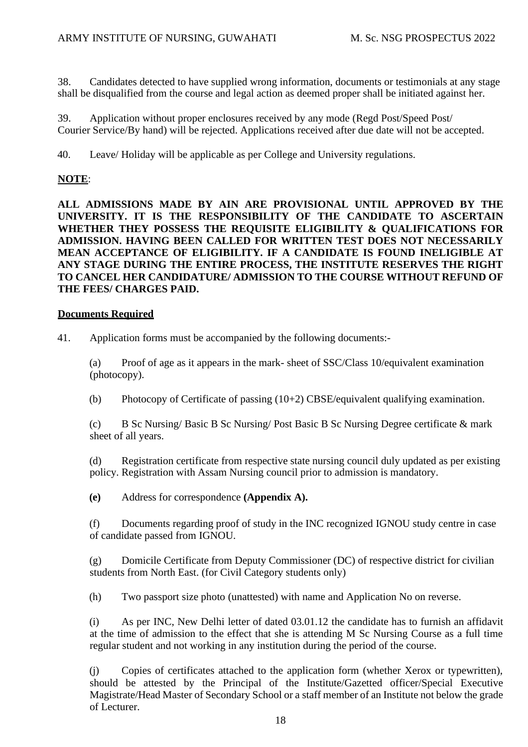38. Candidates detected to have supplied wrong information, documents or testimonials at any stage shall be disqualified from the course and legal action as deemed proper shall be initiated against her.

39. Application without proper enclosures received by any mode (Regd Post/Speed Post/ Courier Service/By hand) will be rejected. Applications received after due date will not be accepted.

40. Leave/ Holiday will be applicable as per College and University regulations.

#### **NOTE**:

**ALL ADMISSIONS MADE BY AIN ARE PROVISIONAL UNTIL APPROVED BY THE UNIVERSITY. IT IS THE RESPONSIBILITY OF THE CANDIDATE TO ASCERTAIN WHETHER THEY POSSESS THE REQUISITE ELIGIBILITY & QUALIFICATIONS FOR ADMISSION. HAVING BEEN CALLED FOR WRITTEN TEST DOES NOT NECESSARILY MEAN ACCEPTANCE OF ELIGIBILITY. IF A CANDIDATE IS FOUND INELIGIBLE AT ANY STAGE DURING THE ENTIRE PROCESS, THE INSTITUTE RESERVES THE RIGHT TO CANCEL HER CANDIDATURE/ ADMISSION TO THE COURSE WITHOUT REFUND OF THE FEES/ CHARGES PAID.**

#### **Documents Required**

41. Application forms must be accompanied by the following documents:-

(a) Proof of age as it appears in the mark- sheet of SSC/Class 10/equivalent examination (photocopy).

(b) Photocopy of Certificate of passing (10+2) CBSE/equivalent qualifying examination.

(c) B Sc Nursing/ Basic B Sc Nursing/ Post Basic B Sc Nursing Degree certificate & mark sheet of all years.

(d) Registration certificate from respective state nursing council duly updated as per existing policy. Registration with Assam Nursing council prior to admission is mandatory.

**(e)** Address for correspondence **(Appendix A).**

(f) Documents regarding proof of study in the INC recognized IGNOU study centre in case of candidate passed from IGNOU.

(g) Domicile Certificate from Deputy Commissioner (DC) of respective district for civilian students from North East. (for Civil Category students only)

(h) Two passport size photo (unattested) with name and Application No on reverse.

(i) As per INC, New Delhi letter of dated 03.01.12 the candidate has to furnish an affidavit at the time of admission to the effect that she is attending M Sc Nursing Course as a full time regular student and not working in any institution during the period of the course.

(j) Copies of certificates attached to the application form (whether Xerox or typewritten), should be attested by the Principal of the Institute/Gazetted officer/Special Executive Magistrate/Head Master of Secondary School or a staff member of an Institute not below the grade of Lecturer.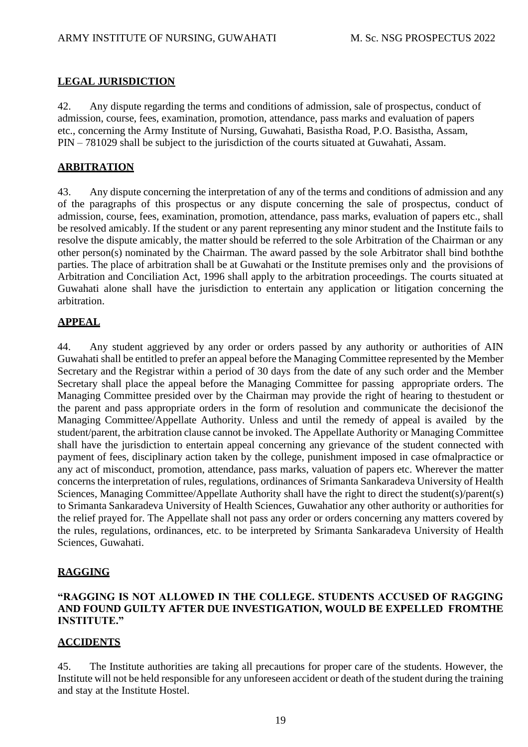#### **LEGAL JURISDICTION**

42. Any dispute regarding the terms and conditions of admission, sale of prospectus, conduct of admission, course, fees, examination, promotion, attendance, pass marks and evaluation of papers etc., concerning the Army Institute of Nursing, Guwahati, Basistha Road, P.O. Basistha, Assam, PIN – 781029 shall be subject to the jurisdiction of the courts situated at Guwahati, Assam.

#### **ARBITRATION**

43. Any dispute concerning the interpretation of any of the terms and conditions of admission and any of the paragraphs of this prospectus or any dispute concerning the sale of prospectus, conduct of admission, course, fees, examination, promotion, attendance, pass marks, evaluation of papers etc., shall be resolved amicably. If the student or any parent representing any minor student and the Institute fails to resolve the dispute amicably, the matter should be referred to the sole Arbitration of the Chairman or any other person(s) nominated by the Chairman. The award passed by the sole Arbitrator shall bind boththe parties. The place of arbitration shall be at Guwahati or the Institute premises only and the provisions of Arbitration and Conciliation Act, 1996 shall apply to the arbitration proceedings. The courts situated at Guwahati alone shall have the jurisdiction to entertain any application or litigation concerning the arbitration.

#### **APPEAL**

44. Any student aggrieved by any order or orders passed by any authority or authorities of AIN Guwahati shall be entitled to prefer an appeal before the Managing Committee represented by the Member Secretary and the Registrar within a period of 30 days from the date of any such order and the Member Secretary shall place the appeal before the Managing Committee for passing appropriate orders. The Managing Committee presided over by the Chairman may provide the right of hearing to thestudent or the parent and pass appropriate orders in the form of resolution and communicate the decisionof the Managing Committee/Appellate Authority. Unless and until the remedy of appeal is availed by the student/parent, the arbitration clause cannot be invoked. The Appellate Authority or Managing Committee shall have the jurisdiction to entertain appeal concerning any grievance of the student connected with payment of fees, disciplinary action taken by the college, punishment imposed in case ofmalpractice or any act of misconduct, promotion, attendance, pass marks, valuation of papers etc. Wherever the matter concerns the interpretation of rules, regulations, ordinances of Srimanta Sankaradeva University of Health Sciences, Managing Committee/Appellate Authority shall have the right to direct the student(s)/parent(s) to Srimanta Sankaradeva University of Health Sciences, Guwahatior any other authority or authorities for the relief prayed for. The Appellate shall not pass any order or orders concerning any matters covered by the rules, regulations, ordinances, etc. to be interpreted by Srimanta Sankaradeva University of Health Sciences, Guwahati.

#### **RAGGING**

#### **"RAGGING IS NOT ALLOWED IN THE COLLEGE. STUDENTS ACCUSED OF RAGGING AND FOUND GUILTY AFTER DUE INVESTIGATION, WOULD BE EXPELLED FROMTHE INSTITUTE."**

#### **ACCIDENTS**

45. The Institute authorities are taking all precautions for proper care of the students. However, the Institute will not be held responsible for any unforeseen accident or death of the student during the training and stay at the Institute Hostel.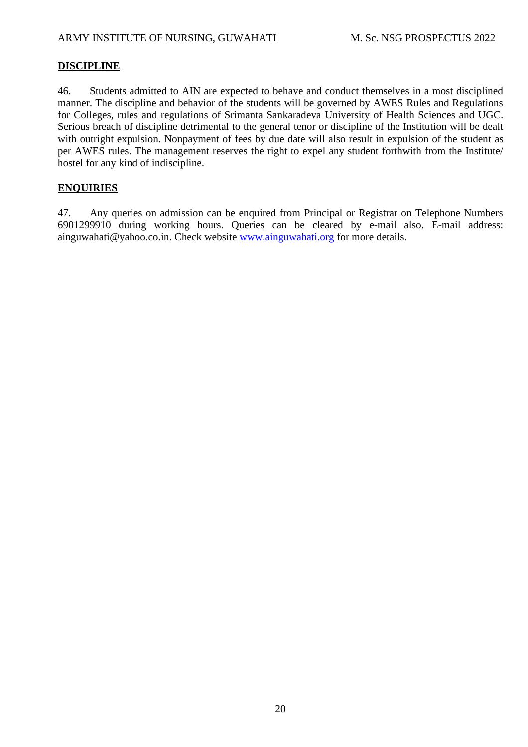### **DISCIPLINE**

46. Students admitted to AIN are expected to behave and conduct themselves in a most disciplined manner. The discipline and behavior of the students will be governed by AWES Rules and Regulations for Colleges, rules and regulations of Srimanta Sankaradeva University of Health Sciences and UGC. Serious breach of discipline detrimental to the general tenor or discipline of the Institution will be dealt with outright expulsion. Nonpayment of fees by due date will also result in expulsion of the student as per AWES rules. The management reserves the right to expel any student forthwith from the Institute/ hostel for any kind of indiscipline.

#### **ENQUIRIES**

47. Any queries on admission can be enquired from Principal or Registrar on Telephone Numbers 6901299910 during working hours. Queries can be cleared by e-mail also. E-mail address: [ainguwahati@yahoo.co.in.](mailto:ainguwahati@yahoo.co.in) Check website [www.ainguwahati.org](http://www.ainguwahati.org/) for more details.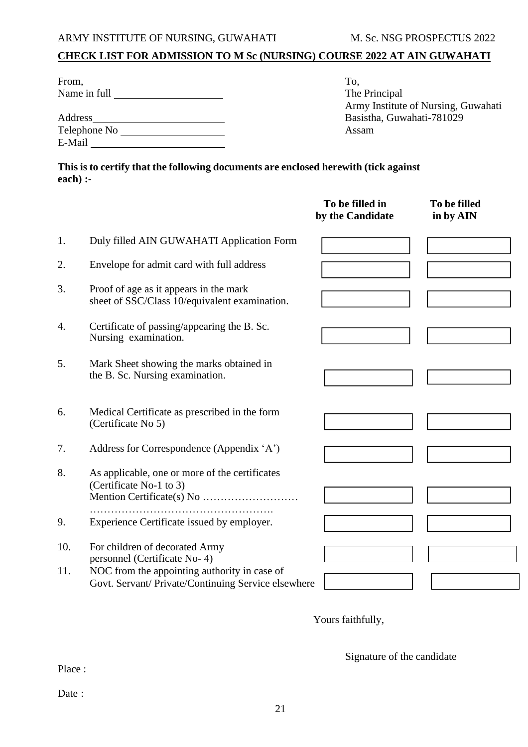# **CHECK LIST FOR ADMISSION TO M Sc (NURSING) COURSE 2022 AT AIN GUWAHATI**

| From,                        | To.                                 |
|------------------------------|-------------------------------------|
| Name in full                 | The Principal                       |
|                              | Army Institute of Nursing, Guwahati |
| Address                      | Basistha, Guwahati-781029           |
| Telephone No <b>Solution</b> | Assam                               |
| E-Mail                       |                                     |

**This is to certify that the following documents are enclosed herewith (tick against each) :-**

|            |                                                                                                                                                                       | To be filled in<br>by the Candidate | To be filled<br>in by AIN |
|------------|-----------------------------------------------------------------------------------------------------------------------------------------------------------------------|-------------------------------------|---------------------------|
| 1.         | Duly filled AIN GUWAHATI Application Form                                                                                                                             |                                     |                           |
| 2.         | Envelope for admit card with full address                                                                                                                             |                                     |                           |
| 3.         | Proof of age as it appears in the mark<br>sheet of SSC/Class 10/equivalent examination.                                                                               |                                     |                           |
| 4.         | Certificate of passing/appearing the B. Sc.<br>Nursing examination.                                                                                                   |                                     |                           |
| 5.         | Mark Sheet showing the marks obtained in<br>the B. Sc. Nursing examination.                                                                                           |                                     |                           |
| 6.         | Medical Certificate as prescribed in the form<br>(Certificate No 5)                                                                                                   |                                     |                           |
| 7.         | Address for Correspondence (Appendix 'A')                                                                                                                             |                                     |                           |
| 8.         | As applicable, one or more of the certificates<br>(Certificate No-1 to 3)                                                                                             |                                     |                           |
| 9.         | Experience Certificate issued by employer.                                                                                                                            |                                     |                           |
| 10.<br>11. | For children of decorated Army<br>personnel (Certificate No-4)<br>NOC from the appointing authority in case of<br>Govt. Servant/ Private/Continuing Service elsewhere |                                     |                           |
|            |                                                                                                                                                                       |                                     |                           |

Yours faithfully,

Signature of the candidate

Place :

Date :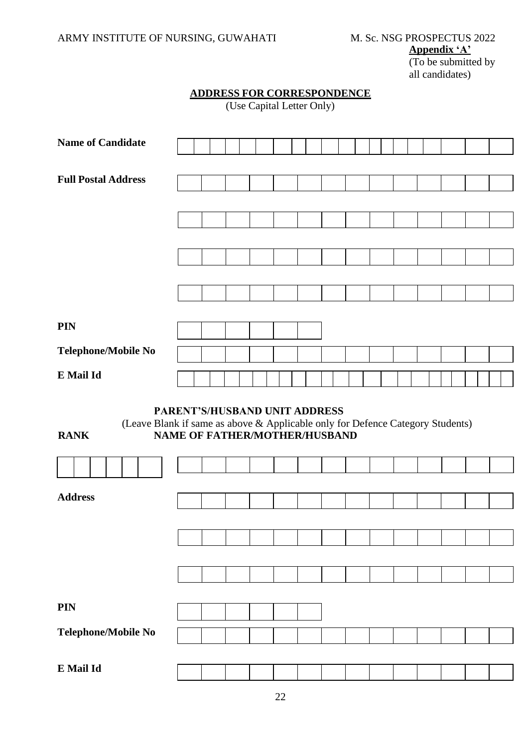**Appendix 'A'**

(To be submitted by all candidates)

|--|

(Use Capital Letter Only)

| <b>Name of Candidate</b>                                                                                                                                               |  |  |  |  |  |  |  |  |  |  |  |  |
|------------------------------------------------------------------------------------------------------------------------------------------------------------------------|--|--|--|--|--|--|--|--|--|--|--|--|
|                                                                                                                                                                        |  |  |  |  |  |  |  |  |  |  |  |  |
| <b>Full Postal Address</b>                                                                                                                                             |  |  |  |  |  |  |  |  |  |  |  |  |
|                                                                                                                                                                        |  |  |  |  |  |  |  |  |  |  |  |  |
|                                                                                                                                                                        |  |  |  |  |  |  |  |  |  |  |  |  |
|                                                                                                                                                                        |  |  |  |  |  |  |  |  |  |  |  |  |
|                                                                                                                                                                        |  |  |  |  |  |  |  |  |  |  |  |  |
|                                                                                                                                                                        |  |  |  |  |  |  |  |  |  |  |  |  |
|                                                                                                                                                                        |  |  |  |  |  |  |  |  |  |  |  |  |
|                                                                                                                                                                        |  |  |  |  |  |  |  |  |  |  |  |  |
|                                                                                                                                                                        |  |  |  |  |  |  |  |  |  |  |  |  |
| <b>PIN</b>                                                                                                                                                             |  |  |  |  |  |  |  |  |  |  |  |  |
|                                                                                                                                                                        |  |  |  |  |  |  |  |  |  |  |  |  |
| Telephone/Mobile No                                                                                                                                                    |  |  |  |  |  |  |  |  |  |  |  |  |
| E Mail Id                                                                                                                                                              |  |  |  |  |  |  |  |  |  |  |  |  |
|                                                                                                                                                                        |  |  |  |  |  |  |  |  |  |  |  |  |
|                                                                                                                                                                        |  |  |  |  |  |  |  |  |  |  |  |  |
| PARENT'S/HUSBAND UNIT ADDRESS<br>(Leave Blank if same as above & Applicable only for Defence Category Students)<br><b>NAME OF FATHER/MOTHER/HUSBAND</b><br><b>RANK</b> |  |  |  |  |  |  |  |  |  |  |  |  |
|                                                                                                                                                                        |  |  |  |  |  |  |  |  |  |  |  |  |
|                                                                                                                                                                        |  |  |  |  |  |  |  |  |  |  |  |  |
| <b>Address</b>                                                                                                                                                         |  |  |  |  |  |  |  |  |  |  |  |  |
|                                                                                                                                                                        |  |  |  |  |  |  |  |  |  |  |  |  |
|                                                                                                                                                                        |  |  |  |  |  |  |  |  |  |  |  |  |
|                                                                                                                                                                        |  |  |  |  |  |  |  |  |  |  |  |  |
|                                                                                                                                                                        |  |  |  |  |  |  |  |  |  |  |  |  |
|                                                                                                                                                                        |  |  |  |  |  |  |  |  |  |  |  |  |
|                                                                                                                                                                        |  |  |  |  |  |  |  |  |  |  |  |  |
| <b>PIN</b>                                                                                                                                                             |  |  |  |  |  |  |  |  |  |  |  |  |
|                                                                                                                                                                        |  |  |  |  |  |  |  |  |  |  |  |  |
| Telephone/Mobile No                                                                                                                                                    |  |  |  |  |  |  |  |  |  |  |  |  |
| E Mail Id                                                                                                                                                              |  |  |  |  |  |  |  |  |  |  |  |  |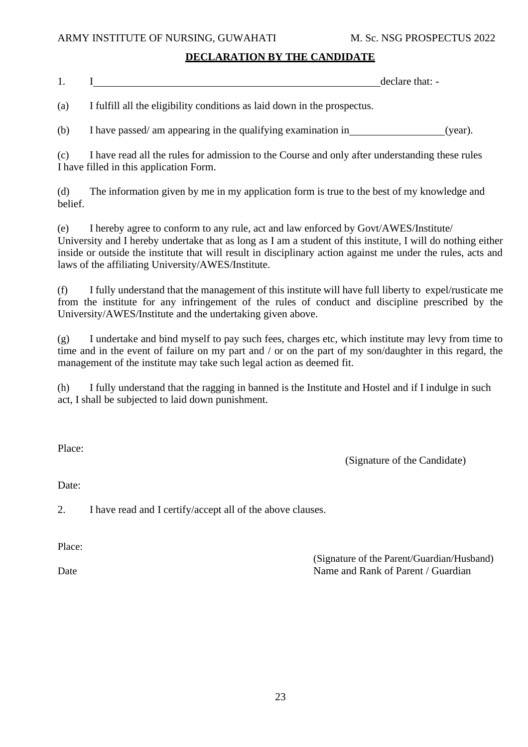#### **DECLARATION BY THE CANDIDATE**

| . . | declare that: |
|-----|---------------|
|     |               |

(a) I fulfill all the eligibility conditions as laid down in the prospectus.

(b) I have passed/ am appearing in the qualifying examination in (year).

(c) I have read all the rules for admission to the Course and only after understanding these rules I have filled in this application Form.

(d) The information given by me in my application form is true to the best of my knowledge and belief.

(e) I hereby agree to conform to any rule, act and law enforced by Govt/AWES/Institute/ University and I hereby undertake that as long as I am a student of this institute, I will do nothing either inside or outside the institute that will result in disciplinary action against me under the rules, acts and laws of the affiliating University/AWES/Institute.

(f) I fully understand that the management of this institute will have full liberty to expel/rusticate me from the institute for any infringement of the rules of conduct and discipline prescribed by the University/AWES/Institute and the undertaking given above.

(g) I undertake and bind myself to pay such fees, charges etc, which institute may levy from time to time and in the event of failure on my part and / or on the part of my son/daughter in this regard, the management of the institute may take such legal action as deemed fit.

(h) I fully understand that the ragging in banned is the Institute and Hostel and if I indulge in such act, I shall be subjected to laid down punishment.

Place:

(Signature of the Candidate)

Date:

2. I have read and I certify/accept all of the above clauses.

Place:

Date

(Signature of the Parent/Guardian/Husband) Name and Rank of Parent / Guardian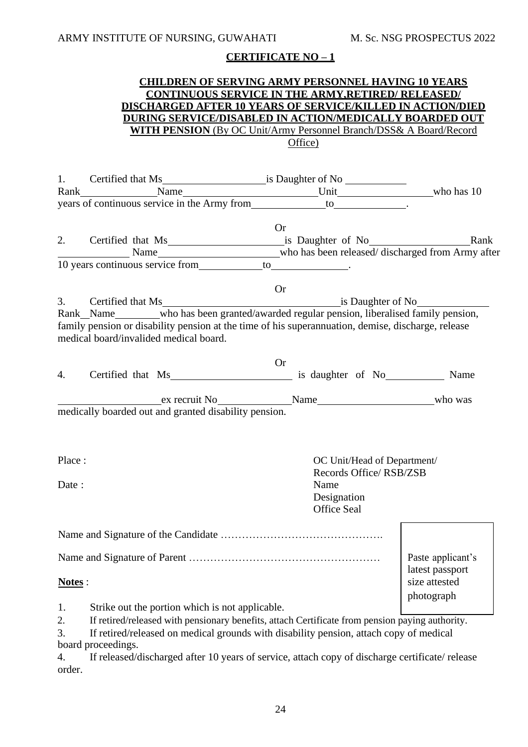#### **CHILDREN OF SERVING ARMY PERSONNEL HAVING 10 YEARS CONTINUOUS SERVICE IN THE ARMY,RETIRED/ RELEASED/ DISCHARGED AFTER 10 YEARS OF SERVICE/KILLED IN ACTION/DIED DURING SERVICE/DISABLED IN ACTION/MEDICALLY BOARDED OUT WITH PENSION** (By OC Unit/Army Personnel Branch/DSS& A Board/Record Office)

|                                | years of continuous service in the Army from _________________to_______________.                                                                                                                                                                                                                                                                                      |                                                                                                    |                                                       |
|--------------------------------|-----------------------------------------------------------------------------------------------------------------------------------------------------------------------------------------------------------------------------------------------------------------------------------------------------------------------------------------------------------------------|----------------------------------------------------------------------------------------------------|-------------------------------------------------------|
|                                | 2. Certified that Ms is Daughter of No<br><u>Example 18</u>                                                                                                                                                                                                                                                                                                           | <b>Or</b>                                                                                          |                                                       |
|                                |                                                                                                                                                                                                                                                                                                                                                                       |                                                                                                    |                                                       |
| 3.                             | Rank_Name_______who has been granted/awarded regular pension, liberalised family pension,<br>family pension or disability pension at the time of his superannuation, demise, discharge, release<br>medical board/invalided medical board.                                                                                                                             | <b>Or</b>                                                                                          |                                                       |
| 4.                             | Certified that Ms is daughter of No Name                                                                                                                                                                                                                                                                                                                              | <b>Or</b>                                                                                          |                                                       |
|                                | ex recruit No Name Name Name who was<br>medically boarded out and granted disability pension.                                                                                                                                                                                                                                                                         |                                                                                                    |                                                       |
| Place:<br>Date:                |                                                                                                                                                                                                                                                                                                                                                                       | OC Unit/Head of Department/<br>Records Office/RSB/ZSB<br>Name<br>Designation<br><b>Office Seal</b> |                                                       |
|                                |                                                                                                                                                                                                                                                                                                                                                                       |                                                                                                    |                                                       |
| Notes:                         |                                                                                                                                                                                                                                                                                                                                                                       |                                                                                                    | Paste applicant's<br>latest passport<br>size attested |
| 1.<br>2.<br>3.<br>4.<br>order. | Strike out the portion which is not applicable.<br>If retired/released with pensionary benefits, attach Certificate from pension paying authority.<br>If retired/released on medical grounds with disability pension, attach copy of medical<br>board proceedings.<br>If released/discharged after 10 years of service, attach copy of discharge certificate/ release |                                                                                                    | photograph                                            |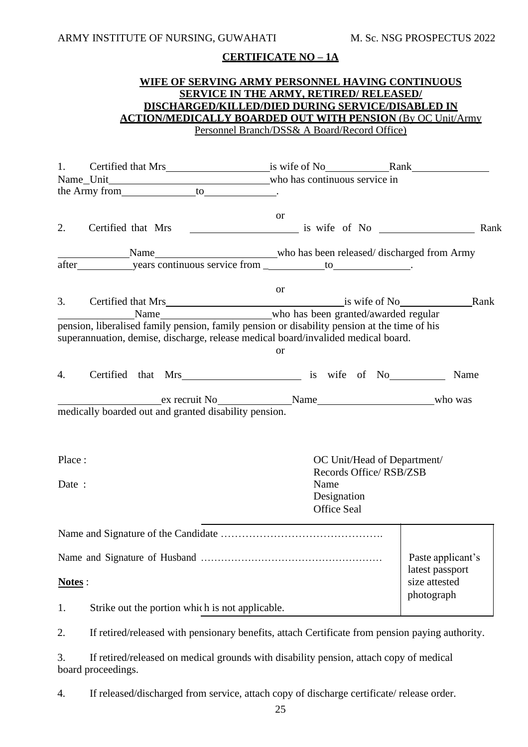#### **WIFE OF SERVING ARMY PERSONNEL HAVING CONTINUOUS SERVICE IN THE ARMY, RETIRED/ RELEASED/ DISCHARGED/KILLED/DIED DURING SERVICE/DISABLED IN ACTION/MEDICALLY BOARDED OUT WITH PENSION** (By OC Unit/Army Personnel Branch/DSS& A Board/Record Office)

|        | 1. Certified that Mrs is wife of No Rank                                                                                                                                                                                                                                                                                                                                                                            |                                                       |                                  |
|--------|---------------------------------------------------------------------------------------------------------------------------------------------------------------------------------------------------------------------------------------------------------------------------------------------------------------------------------------------------------------------------------------------------------------------|-------------------------------------------------------|----------------------------------|
|        |                                                                                                                                                                                                                                                                                                                                                                                                                     |                                                       |                                  |
|        |                                                                                                                                                                                                                                                                                                                                                                                                                     |                                                       |                                  |
| 2.     |                                                                                                                                                                                                                                                                                                                                                                                                                     | <sub>or</sub>                                         |                                  |
|        | after years continuous service from to to                                                                                                                                                                                                                                                                                                                                                                           |                                                       |                                  |
|        |                                                                                                                                                                                                                                                                                                                                                                                                                     |                                                       |                                  |
|        |                                                                                                                                                                                                                                                                                                                                                                                                                     | <sub>or</sub>                                         |                                  |
|        | Name Mame Mame  Mame  Mame  Mame  Mame  Mame  Mame  Mame  Mame  Mame  Mame  Mame  Mame  Mame  Mame  Mame  Mame  Mame  Mame  Mame  Mame  Mame  Mame  Mame  Mame  Mame  Mame  Mame  Mame  Mame  Mame  Mame  Mame  Mame  Mame  Ma<br>pension, liberalised family pension, family pension or disability pension at the time of his<br>superannuation, demise, discharge, release medical board/invalided medical board. | <b>or</b>                                             |                                  |
| 4.     | Certified that Mrs is wife of No                                                                                                                                                                                                                                                                                                                                                                                    |                                                       | Name                             |
|        | ex recruit No Name Name Name who was<br>medically boarded out and granted disability pension.                                                                                                                                                                                                                                                                                                                       |                                                       |                                  |
| Place: |                                                                                                                                                                                                                                                                                                                                                                                                                     | OC Unit/Head of Department/<br>Records Office/RSB/ZSB |                                  |
| Date:  |                                                                                                                                                                                                                                                                                                                                                                                                                     | Name<br>Designation<br><b>Office Seal</b>             |                                  |
|        |                                                                                                                                                                                                                                                                                                                                                                                                                     |                                                       |                                  |
|        |                                                                                                                                                                                                                                                                                                                                                                                                                     |                                                       | Paste applicant's                |
| Notes: |                                                                                                                                                                                                                                                                                                                                                                                                                     |                                                       | latest passport<br>size attested |
| 1.     | Strike out the portion which is not applicable.                                                                                                                                                                                                                                                                                                                                                                     |                                                       | photograph                       |
| 2.     | If retired/released with pensionary benefits, attach Certificate from pension paying authority.                                                                                                                                                                                                                                                                                                                     |                                                       |                                  |
| 3.     | If retired/released on medical grounds with disability pension, attach copy of medical<br>board proceedings.                                                                                                                                                                                                                                                                                                        |                                                       |                                  |

4. If released/discharged from service, attach copy of discharge certificate/ release order.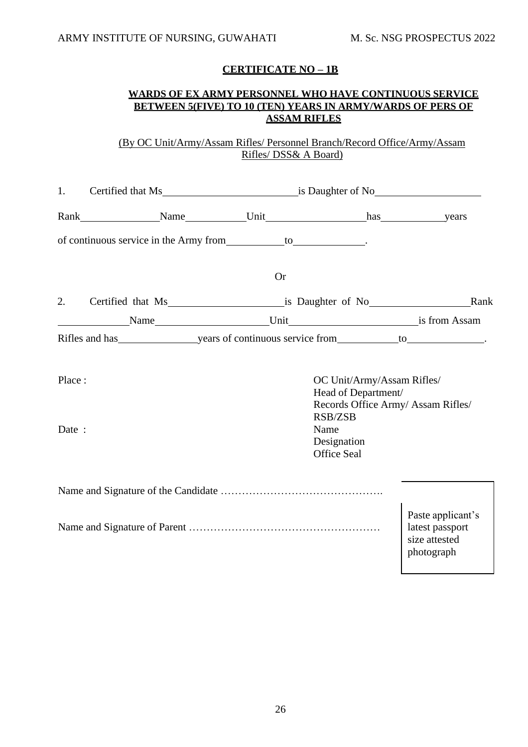#### **WARDS OF EX ARMY PERSONNEL WHO HAVE CONTINUOUS SERVICE BETWEEN 5(FIVE) TO 10 (TEN) YEARS IN ARMY/WARDS OF PERS OF ASSAM RIFLES**

(By OC Unit/Army/Assam Rifles/ Personnel Branch/Record Office/Army/Assam Rifles/ DSS& A Board)

| 1.              | Certified that Ms is Daughter of No                                                                                                                                                                                            |           |                                                                                                                                                |                                                                     |
|-----------------|--------------------------------------------------------------------------------------------------------------------------------------------------------------------------------------------------------------------------------|-----------|------------------------------------------------------------------------------------------------------------------------------------------------|---------------------------------------------------------------------|
|                 | Rank Name Vnit has years vers                                                                                                                                                                                                  |           |                                                                                                                                                |                                                                     |
|                 | of continuous service in the Army from to to the continuous service in the Army from to the contract of the contract of the contract of the contract of the contract of the contract of the contract of the contract of the co |           |                                                                                                                                                |                                                                     |
|                 |                                                                                                                                                                                                                                | <b>Or</b> |                                                                                                                                                |                                                                     |
|                 | 2. Certified that Ms is Daughter of No<br>Rank                                                                                                                                                                                 |           |                                                                                                                                                |                                                                     |
|                 |                                                                                                                                                                                                                                |           |                                                                                                                                                |                                                                     |
|                 |                                                                                                                                                                                                                                |           |                                                                                                                                                |                                                                     |
| Place:<br>Date: |                                                                                                                                                                                                                                | Name      | OC Unit/Army/Assam Rifles/<br>Head of Department/<br>Records Office Army/ Assam Rifles/<br><b>RSB/ZSB</b><br>Designation<br><b>Office Seal</b> |                                                                     |
|                 |                                                                                                                                                                                                                                |           |                                                                                                                                                |                                                                     |
|                 |                                                                                                                                                                                                                                |           |                                                                                                                                                | Paste applicant's<br>latest passport<br>size attested<br>photograph |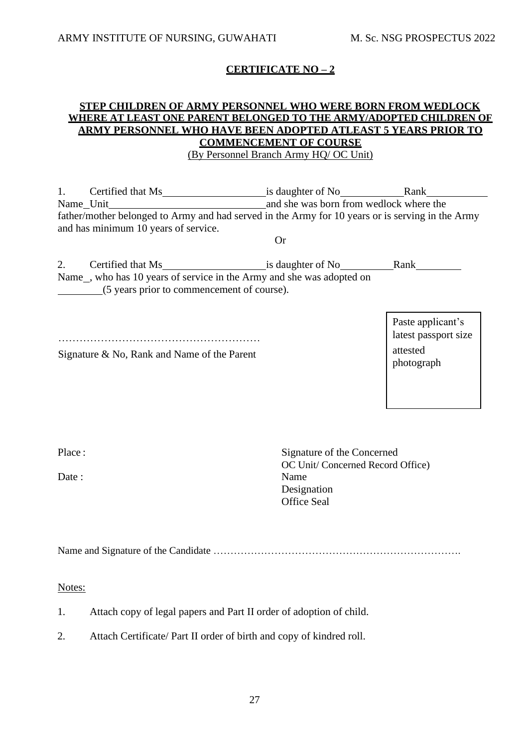#### **STEP CHILDREN OF ARMY PERSONNEL WHO WERE BORN FROM WEDLOCK WHERE AT LEAST ONE PARENT BELONGED TO THE ARMY/ADOPTED CHILDREN OF ARMY PERSONNEL WHO HAVE BEEN ADOPTED ATLEAST 5 YEARS PRIOR TO COMMENCEMENT OF COURSE** (By Personnel Branch Army HQ/ OC Unit)

1. Certified that Ms is daughter of No Rank Name Unit and she was born from wedlock where the father/mother belonged to Army and had served in the Army for 10 years or is serving in the Army and has minimum 10 years of service. Or 2. Certified that Ms is daughter of No Rank Name , who has 10 years of service in the Army and she was adopted on (5 years prior to commencement of course).

………………………………………………… latest passport size

Signature & No, Rank and Name of the Parent attested

Paste applicant's photograph

Place :

Date:

Signature of the Concerned OC Unit/ Concerned Record Office) Name Designation Office Seal

Name and Signature of the Candidate ……………………………………………………………….

Notes:

1. Attach copy of legal papers and Part II order of adoption of child.

2. Attach Certificate/ Part II order of birth and copy of kindred roll.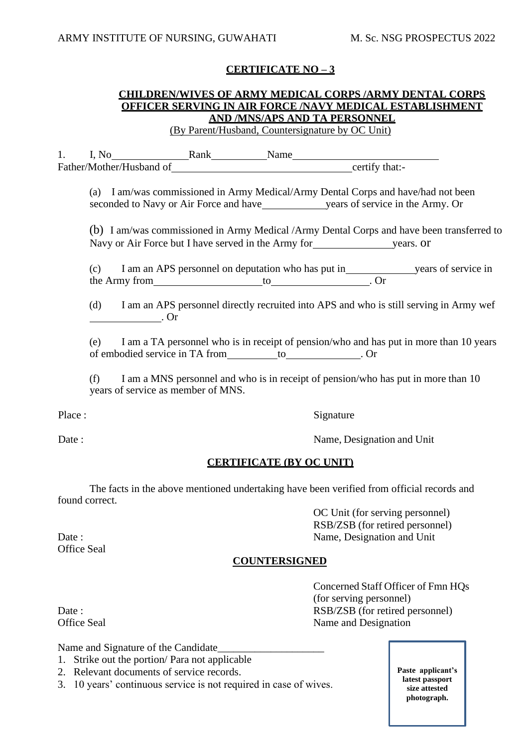# **CHILDREN/WIVES OF ARMY MEDICAL CORPS /ARMY DENTAL CORPS OFFICER SERVING IN AIR FORCE /NAVY MEDICAL ESTABLISHMENT AND /MNS/APS AND TA PERSONNEL**

(By Parent/Husband, Countersignature by OC Unit)

1. I, No Rank Name Father/Mother/Husband of contact that:-

(a) I am/was commissioned in Army Medical/Army Dental Corps and have/had not been seconded to Navy or Air Force and have years of service in the Army. Or

(b) I am/was commissioned in Army Medical /Army Dental Corps and have been transferred to Navy or Air Force but I have served in the Army for years. or

(c) I am an APS personnel on deputation who has put in years of service in the Army from to . Or

(d) I am an APS personnel directly recruited into APS and who is still serving in Army wef . Or

(e) I am a TA personnel who is in receipt of pension/who and has put in more than 10 years of embodied service in TA from to to the control of embodied service in TA from to the control of the control of the control of the control of the control of the control of the control of the control of the control of the

(f) I am a MNS personnel and who is in receipt of pension/who has put in more than 10 years of service as member of MNS.

Place : Signature

Date : Name, Designation and Unit

#### **CERTIFICATE (BY OC UNIT)**

The facts in the above mentioned undertaking have been verified from official records and found correct.

OC Unit (for serving personnel) RSB/ZSB (for retired personnel) Date : Name, Designation and Unit

#### **COUNTERSIGNED**

Concerned Staff Officer of Fmn HQs (for serving personnel) Date : RSB/ZSB (for retired personnel) Office Seal Name and Designation

Office Seal

Name and Signature of the Candidate

- 1. Strike out the portion/ Para not applicable
- 2. Relevant documents of service records.
- 3. 10 years' continuous service is not required in case of wives.

**Paste applicant's latest passport size attested photograph.**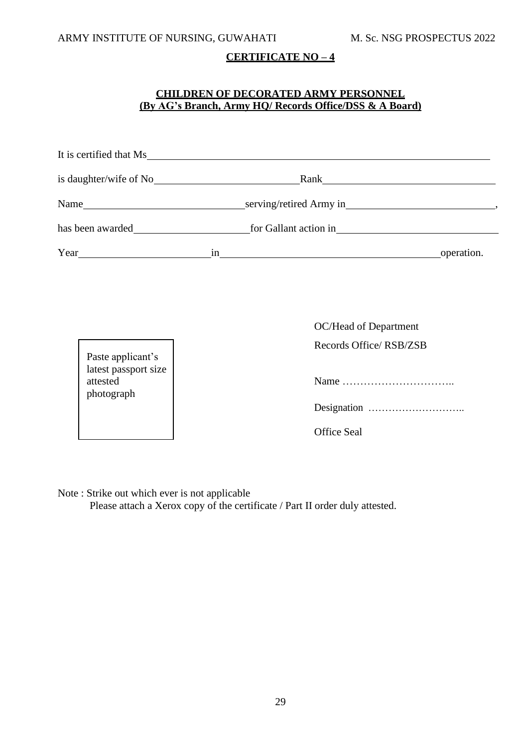# **CHILDREN OF DECORATED ARMY PERSONNEL (By AG's Branch, Army HQ/ Records Office/DSS & A Board)**

|                                                                     | It is certified that Ms                                                                                                                                                                                                        |  |
|---------------------------------------------------------------------|--------------------------------------------------------------------------------------------------------------------------------------------------------------------------------------------------------------------------------|--|
|                                                                     | Rank Rank Research Contract of the Research Contract of the Contract of the Contract of the Contract of the Contract of the Contract of the Contract of the Contract of the Contract of the Contract of the Contract of the Co |  |
|                                                                     |                                                                                                                                                                                                                                |  |
|                                                                     | has been awarded <u>for Gallant action</u> in <u>formal</u>                                                                                                                                                                    |  |
|                                                                     |                                                                                                                                                                                                                                |  |
| Paste applicant's<br>latest passport size<br>attested<br>photograph | OC/Head of Department<br>Records Office/RSB/ZSB<br><b>Office Seal</b>                                                                                                                                                          |  |

Note : Strike out which ever is not applicable

Please attach a Xerox copy of the certificate / Part II order duly attested.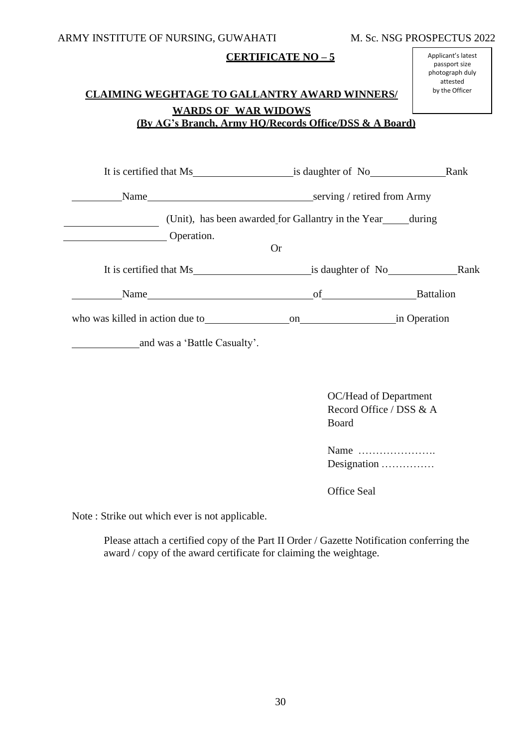# **CLAIMING WEGHTAGE TO GALLANTRY AWARD WINNERS/ WARDS OF WAR WIDOWS (By AG's Branch, Army HQ/Records Office/DSS & A Board)**

| Operation.                                     | (Unit), has been awarded for Gallantry in the Year during |  |
|------------------------------------------------|-----------------------------------------------------------|--|
|                                                | <b>Or</b>                                                 |  |
| It is certified that Ms is daughter of No Rank |                                                           |  |
|                                                |                                                           |  |
|                                                |                                                           |  |
| and was a 'Battle Casualty'.                   |                                                           |  |
|                                                |                                                           |  |

OC/Head of Department Record Office / DSS & A Board

Name …………………. Designation ……………

Office Seal

Note : Strike out which ever is not applicable.

Please attach a certified copy of the Part II Order / Gazette Notification conferring the award / copy of the award certificate for claiming the weightage.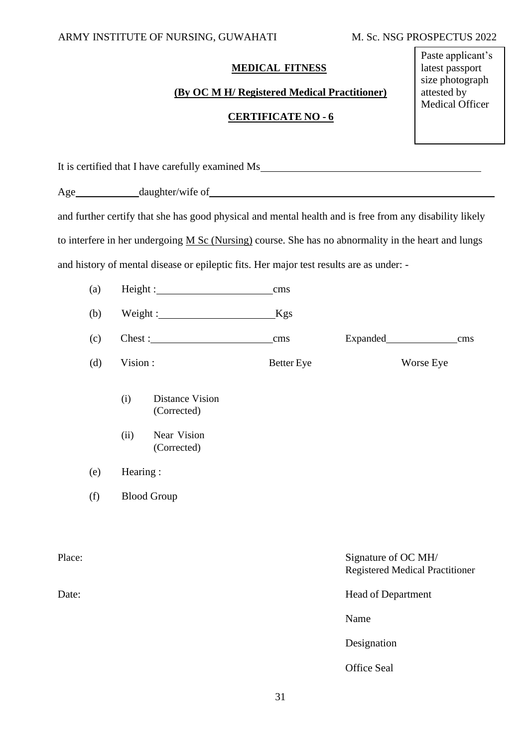# **MEDICAL FITNESS**

# **(By OC M H/ Registered Medical Practitioner)**

# **CERTIFICATE NO - 6**

Paste applicant's latest passport size photograph attested by Medical Officer

| It is certified that I have carefully examined Ms________________________________                       |     |                    |                                       |                   |                                                               |     |  |  |  |  |  |  |  |
|---------------------------------------------------------------------------------------------------------|-----|--------------------|---------------------------------------|-------------------|---------------------------------------------------------------|-----|--|--|--|--|--|--|--|
|                                                                                                         |     |                    |                                       |                   |                                                               |     |  |  |  |  |  |  |  |
| and further certify that she has good physical and mental health and is free from any disability likely |     |                    |                                       |                   |                                                               |     |  |  |  |  |  |  |  |
| to interfere in her undergoing M Sc (Nursing) course. She has no abnormality in the heart and lungs     |     |                    |                                       |                   |                                                               |     |  |  |  |  |  |  |  |
| and history of mental disease or epileptic fits. Her major test results are as under: -                 |     |                    |                                       |                   |                                                               |     |  |  |  |  |  |  |  |
|                                                                                                         | (a) |                    |                                       | cms               |                                                               |     |  |  |  |  |  |  |  |
|                                                                                                         | (b) |                    | Weight: Kgs                           |                   |                                                               |     |  |  |  |  |  |  |  |
|                                                                                                         | (c) |                    |                                       | cms               |                                                               | cms |  |  |  |  |  |  |  |
|                                                                                                         | (d) | Vision:            |                                       | <b>Better</b> Eye | Worse Eye                                                     |     |  |  |  |  |  |  |  |
|                                                                                                         |     | (i)                | <b>Distance Vision</b><br>(Corrected) |                   |                                                               |     |  |  |  |  |  |  |  |
|                                                                                                         |     | (ii)               | Near Vision<br>(Corrected)            |                   |                                                               |     |  |  |  |  |  |  |  |
|                                                                                                         | (e) | Hearing:           |                                       |                   |                                                               |     |  |  |  |  |  |  |  |
|                                                                                                         | (f) | <b>Blood Group</b> |                                       |                   |                                                               |     |  |  |  |  |  |  |  |
|                                                                                                         |     |                    |                                       |                   |                                                               |     |  |  |  |  |  |  |  |
| Place:                                                                                                  |     |                    |                                       |                   | Signature of OC MH/<br><b>Registered Medical Practitioner</b> |     |  |  |  |  |  |  |  |
| Date:                                                                                                   |     |                    |                                       |                   | Head of Department                                            |     |  |  |  |  |  |  |  |
|                                                                                                         |     |                    |                                       |                   | Name                                                          |     |  |  |  |  |  |  |  |
|                                                                                                         |     |                    |                                       |                   | Designation                                                   |     |  |  |  |  |  |  |  |
|                                                                                                         |     |                    |                                       |                   | Office Seal                                                   |     |  |  |  |  |  |  |  |